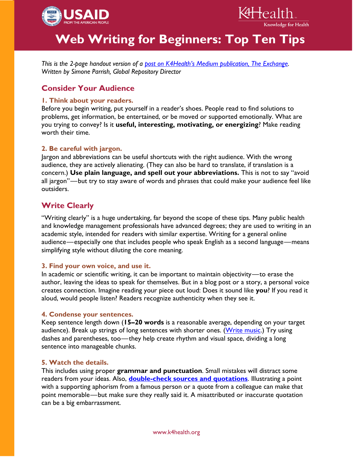



K4Health.

Knowledge for Health

*This is the 2-page handout version of a [post on K4Health's Medium publication, The Exchange](https://medium.com/the-exchange-k4health/3b5ef6a52ee5). Written by Simone Parrish, Global Repository Director*

# **Consider Your Audience**

## **1. Think about your readers.**

Before you begin writing, put yourself in a reader's shoes. People read to find solutions to problems, get information, be entertained, or be moved or supported emotionally. What are you trying to convey? Is it **useful, interesting, motivating, or energizing**? Make reading worth their time.

## **2. Be careful with jargon.**

Jargon and abbreviations can be useful shortcuts with the right audience. With the wrong audience, they are actively alienating. (They can also be hard to translate, if translation is a concern.) **Use plain language, and spell out your abbreviations.** This is not to say "avoid all jargon"—but try to stay aware of words and phrases that could make your audience feel like outsiders.

# **Write Clearly**

"Writing clearly" is a huge undertaking, far beyond the scope of these tips. Many public health and knowledge management professionals have advanced degrees; they are used to writing in an academic style, intended for readers with similar expertise. Writing for a general online audience—especially one that includes people who speak English as a second language—means simplifying style without diluting the core meaning.

### **3. Find your own voice, and use it.**

In academic or scientific writing, it can be important to maintain objectivity—to erase the author, leaving the ideas to speak for themselves. But in a blog post or a story, a personal voice creates connection. Imagine reading your piece out loud: Does it sound like **you**? If you read it aloud, would people listen? Readers recognize authenticity when they see it.

### **4. Condense your sentences.**

Keep sentence length down (**15–20 words** is a reasonable average, depending on your target audience). Break up strings of long sentences with shorter ones. [\(Write music.](http://www.aerogrammestudio.com/2014/08/05/this-sentence-has-five-words/)) Try using dashes and parentheses, too—they help create rhythm and visual space, dividing a long sentence into manageable chunks.

### **5. Watch the details.**

This includes using proper **grammar and punctuation**. Small mistakes will distract some readers from your ideas. Also, **[double-check sources and quotations](https://medium.com/the-exchange-k4health/things-albert-einstein-didn-t-say-d99b3373f46a#.z6ak8cz1i)**. Illustrating a point with a supporting aphorism from a famous person or a quote from a colleague can make that point memorable—but make sure they really said it. A misattributed or inaccurate quotation can be a big embarrassment.